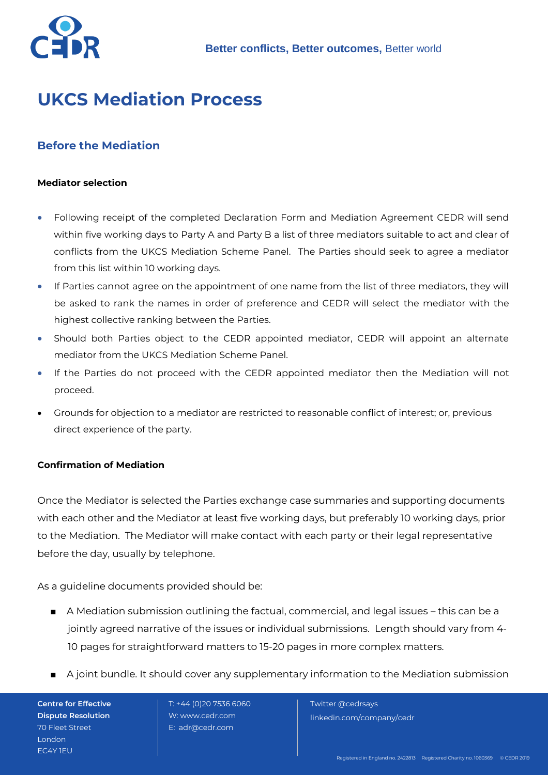

# **UKCS Mediation Process**

## **Before the Mediation**

#### **Mediator selection**

- Following receipt of the completed Declaration Form and Mediation Agreement CEDR will send within five working days to Party A and Party B a list of three mediators suitable to act and clear of conflicts from the UKCS Mediation Scheme Panel. The Parties should seek to agree a mediator from this list within 10 working days.
- If Parties cannot agree on the appointment of one name from the list of three mediators, they will be asked to rank the names in order of preference and CEDR will select the mediator with the highest collective ranking between the Parties.
- Should both Parties object to the CEDR appointed mediator, CEDR will appoint an alternate mediator from the UKCS Mediation Scheme Panel.
- If the Parties do not proceed with the CEDR appointed mediator then the Mediation will not proceed.
- Grounds for objection to a mediator are restricted to reasonable conflict of interest; or, previous direct experience of the party.

#### **Confirmation of Mediation**

Once the Mediator is selected the Parties exchange case summaries and supporting documents with each other and the Mediator at least five working days, but preferably 10 working days, prior to the Mediation. The Mediator will make contact with each party or their legal representative before the day, usually by telephone.

As a guideline documents provided should be:

- A Mediation submission outlining the factual, commercial, and legal issues this can be a jointly agreed narrative of the issues or individual submissions. Length should vary from 4-10 pages for straightforward matters to 15-20 pages in more complex matters.
- A joint bundle. It should cover any supplementary information to the Mediation submission

**Centre for Effective Dispute Resolution** 70 Fleet Street London EC4Y 1EU

 T: +44 (0)20 7536 6060 W: www.cedr.com E: adr@cedr.com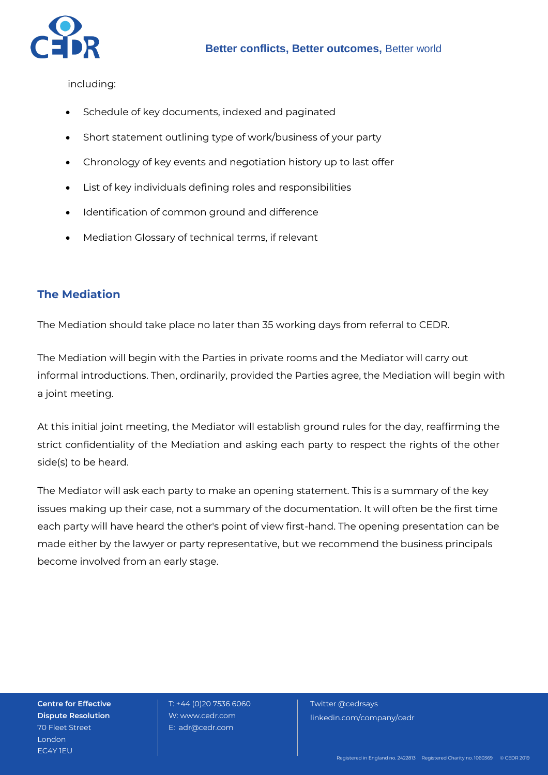

including:

- Schedule of key documents, indexed and paginated
- Short statement outlining type of work/business of your party
- Chronology of key events and negotiation history up to last offer
- List of key individuals defining roles and responsibilities
- Identification of common ground and difference
- Mediation Glossary of technical terms, if relevant

## **The Mediation**

The Mediation should take place no later than 35 working days from referral to CEDR.

The Mediation will begin with the Parties in private rooms and the Mediator will carry out informal introductions. Then, ordinarily, provided the Parties agree, the Mediation will begin with a joint meeting.

At this initial joint meeting, the Mediator will establish ground rules for the day, reaffirming the strict confidentiality of the Mediation and asking each party to respect the rights of the other side(s) to be heard.

The Mediator will ask each party to make an opening statement. This is a summary of the key issues making up their case, not a summary of the documentation. It will often be the first time each party will have heard the other's point of view first-hand. The opening presentation can be made either by the lawyer or party representative, but we recommend the business principals become involved from an early stage.

**Centre for Effective Dispute Resolution** 70 Fleet Street London EC4Y 1EU

 T: +44 (0)20 7536 6060 W: www.cedr.com E: adr@cedr.com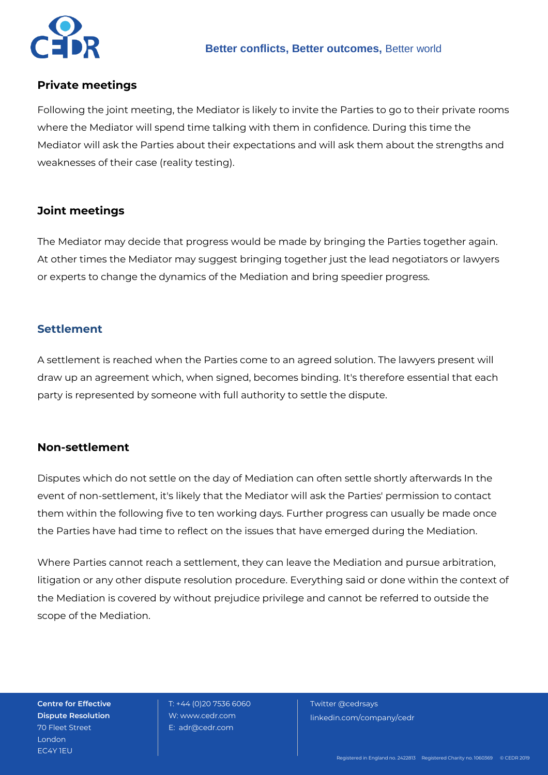

### **Private meetings**

Following the joint meeting, the Mediator is likely to invite the Parties to go to their private rooms where the Mediator will spend time talking with them in confidence. During this time the Mediator will ask the Parties about their expectations and will ask them about the strengths and weaknesses of their case (reality testing).

## **Joint meetings**

The Mediator may decide that progress would be made by bringing the Parties together again. At other times the Mediator may suggest bringing together just the lead negotiators or lawyers or experts to change the dynamics of the Mediation and bring speedier progress.

#### **Settlement**

A settlement is reached when the Parties come to an agreed solution. The lawyers present will draw up an agreement which, when signed, becomes binding. It's therefore essential that each party is represented by someone with full authority to settle the dispute.

#### **Non-settlement**

Disputes which do not settle on the day of Mediation can often settle shortly afterwards In the event of non-settlement, it's likely that the Mediator will ask the Parties' permission to contact them within the following five to ten working days. Further progress can usually be made once the Parties have had time to reflect on the issues that have emerged during the Mediation.

Where Parties cannot reach a settlement, they can leave the Mediation and pursue arbitration, litigation or any other dispute resolution procedure. Everything said or done within the context of the Mediation is covered by without prejudice privilege and cannot be referred to outside the scope of the Mediation.

**Centre for Effective Dispute Resolution** 70 Fleet Street London EC4Y 1EU

 T: +44 (0)20 7536 6060 W: www.cedr.com E: adr@cedr.com